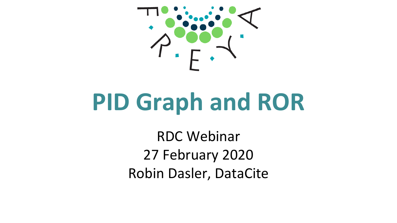

# **PID Graph and ROR**

RDC Webinar 27 February 2020 Robin Dasler, DataCite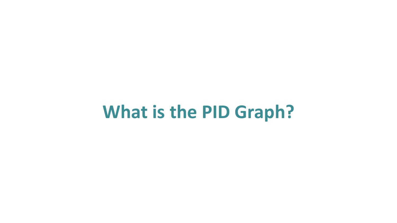# **What is the PID Graph?**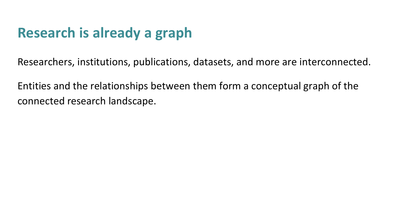### **Research is already a graph**

Researchers, institutions, publications, datasets, and more are interconnected.

Entities and the relationships between them form a conceptual graph of the connected research landscape.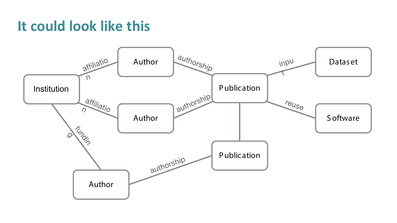#### **It could look like this**

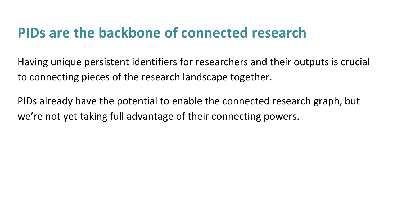#### **PIDs are the backbone of connected research**

Having unique persistent identifiers for researchers and their outputs is crucial to connecting pieces of the research landscape together.

PIDs already have the potential to enable the connected research graph, but we're not yet taking full advantage of their connecting powers.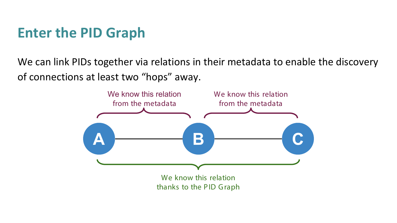#### **Enter the PID Graph**

We can link PIDs together via relations in their metadata to enable the discovery of connections at least two "hops" away.

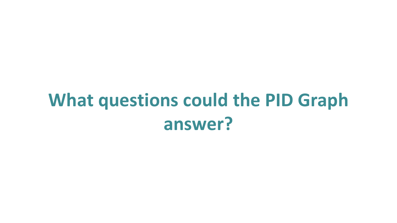# **What questions could the PID Graph answer?**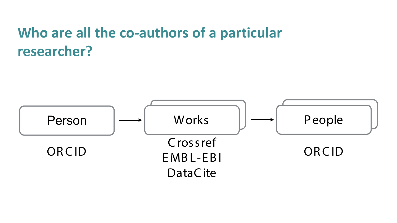### **Who are all the co-authors of a particular researcher?**

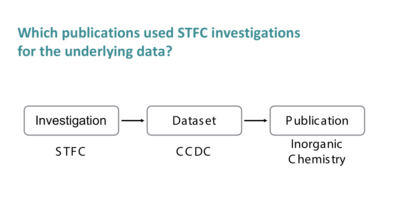### **Which publications used STFC investigations for the underlying data?**

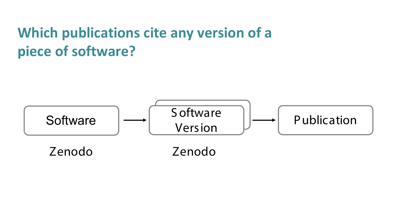### **Which publications cite any version of a piece of software?**

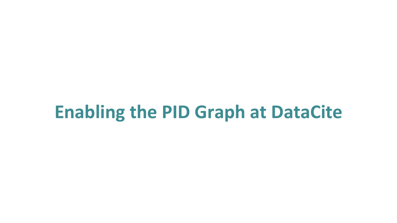## **Enabling the PID Graph at DataCite**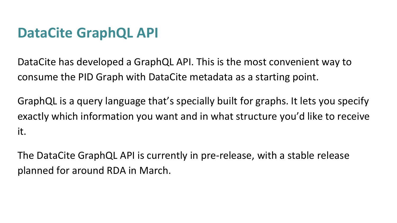#### **DataCite GraphQL API**

DataCite has developed a GraphQL API. This is the most convenient way to consume the PID Graph with DataCite metadata as a starting point.

GraphQL is a query language that's specially built for graphs. It lets you specify exactly which information you want and in what structure you'd like to receive it.

The DataCite GraphQL API is currently in pre-release, with a stable release planned for around RDA in March.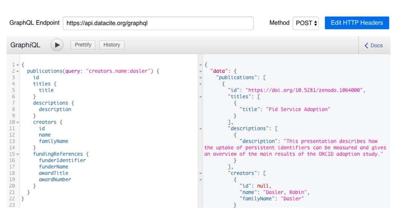| GraphQL Endpoint<br>https://api.datacite.org/graphql                                                                                                                                                                                                                                                                                                                            | Method POST $\div$<br><b>Edit HTTP Headers</b>                                                                                                                                                                                                                                                                                                                                                                                          |
|---------------------------------------------------------------------------------------------------------------------------------------------------------------------------------------------------------------------------------------------------------------------------------------------------------------------------------------------------------------------------------|-----------------------------------------------------------------------------------------------------------------------------------------------------------------------------------------------------------------------------------------------------------------------------------------------------------------------------------------------------------------------------------------------------------------------------------------|
| GraphiQL<br>Prettify<br>History<br>$\blacktriangleright$                                                                                                                                                                                                                                                                                                                        | <b>← Docs</b>                                                                                                                                                                                                                                                                                                                                                                                                                           |
| $1 -$<br>publications(query: "creators.name:dasler") {<br>id<br>titles $\{$<br>title<br>6<br>$descriptions$ {<br>description<br>8<br>$\overline{9}$<br>$10 -$<br>creators {<br>11<br>id<br>12<br>name<br>13<br>familyName<br>14<br>$15 -$<br>fundingReferences {<br>16<br>funderIdentifier<br>17<br>funderName<br>18<br>awardTitle<br>19<br>awardNumber<br>20<br>21<br>22<br>23 | "data": $\{$<br>"publications": [<br>"id": "https://doi.org/10.5281/zenodo.1064000",<br>"titles": [<br>"title": "Pid Service Adoption"<br>"descriptions": [<br>"description": "This presentation describes how<br>the uptake of persistent identifiers can be measured and gives<br>an overview of the main results of the ORCID adoption study."<br>"creators": [<br>"id": null,<br>"name": "Dasler, Robin",<br>"familyName": "Dasler" |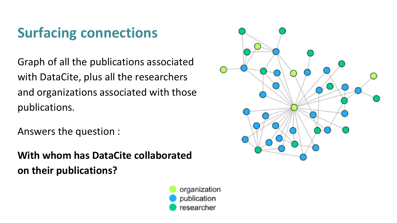## **Surfacing connections**

Graph of all the publications associated with DataCite, plus all the researchers and organizations associated with those publications.

Answers the question :

**With whom has DataCite collaborated on their publications?** 



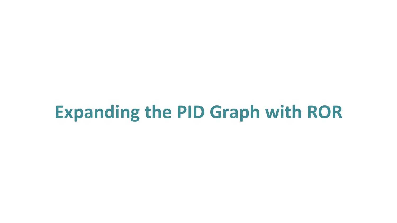## **Expanding the PID Graph with ROR**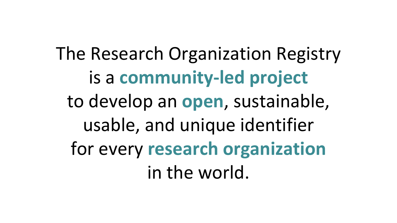The Research Organization Registry is a **community-led project** to develop an **open**, sustainable, usable, and unique identifier for every **research organization** in the world.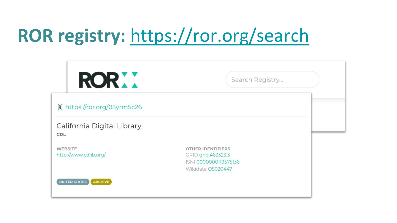# **ROR registry:** <https://ror.org/search>

| <b>RORXX</b>                            | Search Registry                                                                       |  |
|-----------------------------------------|---------------------------------------------------------------------------------------|--|
| R https://ror.org/03yrm5c26             |                                                                                       |  |
| California Digital Library<br>CDL       |                                                                                       |  |
| <b>WEBSITE</b><br>http://www.cdlib.org/ | OTHER IDENTIFIERS<br>GRID grid.463323.3<br>ISNI 0000000119575136<br>Wikidata Q5020447 |  |
| UNITED STATES<br>ARCHIVE                |                                                                                       |  |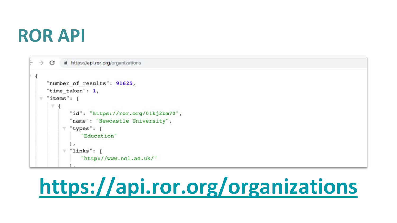# **ROR API**

```
\mathcal{C}^*https://api.ror.org/organizations
\rightarrow"number of results": 91625,
   "time taken": 1,
  "items": \lceil\overline{\mathcal{F}} {
           "id": "https://ror.org/01kj2bm70",
            "name": "Newcastle University",
         \top "types": [
                "Education"
            1,
         \top "links": [
                "http://www.ncl.ac.uk/"
```
# **<https://api.ror.org/organizations>**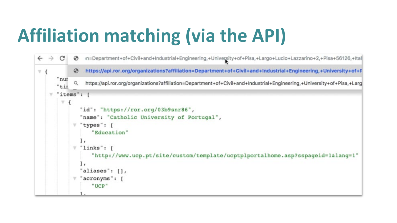# **Affiliation matching (via the API)**

```
in=Department+of+Civil+and+Industrial+Engineering,+University+of+Pisa,+Largo+Lucio+Lazzarino+2,+Pisa+56126,+Ital
\leftarrow\rightarrowC
              ⊛
                   https://api.ror.org/organizations?affiliation=Department+of+Civil+and+Industrial+Engineering,+University+of+F
              \odot\overline{r} {
       "nur
                   https://api.ror.org/organizations?affiliation=Department+of+Civil+and+Industrial+Engineering,+University+of+Pisa,+Larg
              Q
       "tir
       "items":
    \forall\overline{\mathbf{v}}"id": "https://ror.org/03b9snr86",
                 "name": "Catholic University of Portugal",
                "types": [
                     "Education"
                "links": \lceil\overline{\mathbf{u}}"http://www.ucp.pt/site/custom/template/ucptplportalhome.asp?sspageid=1&lang=1"
                 Ι,
                  aliases": [],
                  acronyms": [
                      "UCP"
```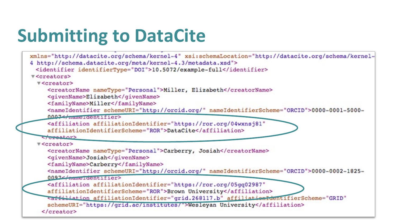# **Submitting to DataCite**

```
xmlns="http://datacite.org/schema/kernel-4" xsi:schemaLocation="http://datacite.org/schema/kernel-
4 http://schema.datacite.org/meta/kernel-4.3/metadata.xsd">
 <identifier identifierType="DOI">10.5072/example-full</identifier>
v<creators>
  V<creator>
    <creatorName nameType="Personal">Miller, Elizabeth</creatorName>
    <givenName>Elizabeth</givenName>
    <familyName>Miller</familyName>
    <nameIdentifier schemeURI="http://orcid.org/" nameIdentifierScheme="ORCID">0000-0001-5000-
    0007</name=dentifier>
    <affiliation affiliationIdentifier="https://ror.org/04wxnsj81"
    affiliationIdentifierScheme="ROR">DataCite</affiliation>
   Cressator>
  v<creator>
    <creatorName nameType="Personal">Carberry, Josiah</creatorName>
    <givenName>Josiah</givenName>
    <familyName>Carberry</familyName>
    <nameIdentifier schemeURI="http://orcid.org/" nameIdentifierScheme="ORCID">0000-0002-1825-
    0097<sub>1</sub><affiliation affiliationIdentifier="https://ror.org/05gq02987"
    affiliationIdentifierScheme="ROR">Brown University</affiliation>
     Taffiliation affiliationIdentifier="grid.268117.b" affiliationIdentifierScheme="GRID"
    schemeURI="https://grid.ac/institutes/">Wesleyan University</affiliation>
   </creator>
```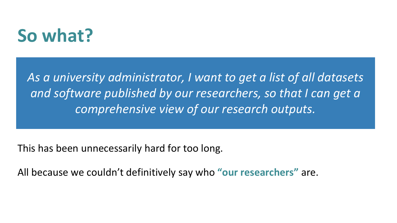## **So what?**

*As a university administrator, I want to get a list of all datasets and software published by our researchers, so that I can get a comprehensive view of our research outputs.*

This has been unnecessarily hard for too long.

All because we couldn't definitively say who **"our researchers"** are.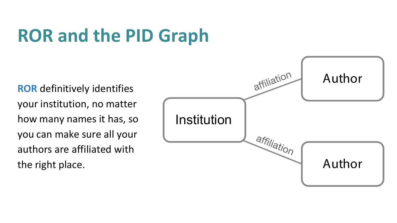# **ROR and the PID Graph**

**ROR** definitively identifies your institution, no matter how many names it has, so you can make sure all your authors are affiliated with the right place.

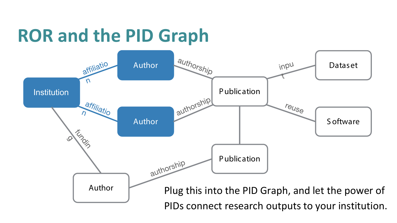# **ROR and the PID Graph**